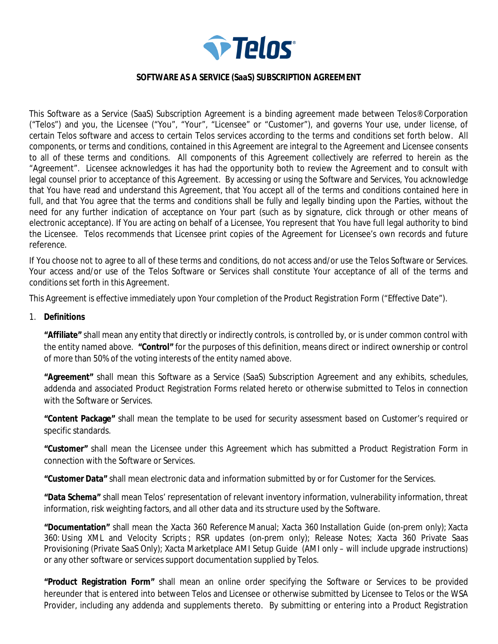

#### **SOFTWARE AS A SERVICE (SaaS) SUBSCRIPTION AGREEMENT**

This Software as a Service (SaaS) Subscription Agreement is a binding agreement made between Telos® Corporation ("Telos") and you, the Licensee ("You", "Your", "Licensee" or "Customer"), and governs Your use, under license, of certain Telos software and access to certain Telos services according to the terms and conditions set forth below. All components, or terms and conditions, contained in this Agreement are integral to the Agreement and Licensee consents to all of these terms and conditions. All components of this Agreement collectively are referred to herein as the "Agreement". Licensee acknowledges it has had the opportunity both to review the Agreement and to consult with legal counsel prior to acceptance of this Agreement. By accessing or using the Software and Services, You acknowledge that You have read and understand this Agreement, that You accept all of the terms and conditions contained here in full, and that You agree that the terms and conditions shall be fully and legally binding upon the Parties, without the need for any further indication of acceptance on Your part (such as by signature, click through or other means of electronic acceptance). If You are acting on behalf of a Licensee, You represent that You have full legal authority to bind the Licensee. Telos recommends that Licensee print copies of the Agreement for Licensee's own records and future reference.

If You choose not to agree to all of these terms and conditions, do not access and/or use the Telos Software or Services. Your access and/or use of the Telos Software or Services shall constitute Your acceptance of all of the terms and conditions set forth in this Agreement.

This Agreement is effective immediately upon Your completion of the Product Registration Form ("Effective Date").

1. **Definitions**

**"Affiliate"** shall mean any entity that directly or indirectly controls, is controlled by, or is under common control with the entity named above. **"Control"** for the purposes of this definition, means direct or indirect ownership or control of more than 50% of the voting interests of the entity named above.

**"Agreement"** shall mean this Software as a Service (SaaS) Subscription Agreement and any exhibits, schedules, addenda and associated Product Registration Forms related hereto or otherwise submitted to Telos in connection with the Software or Services.

**"Content Package"** shall mean the template to be used for security assessment based on Customer's required or specific standards.

**"Customer"** shall mean the Licensee under this Agreement which has submitted a Product Registration Form in connection with the Software or Services.

**"Customer Data"** shall mean electronic data and information submitted by or for Customer for the Services.

**"Data Schema"** shall mean Telos' representation of relevant inventory information, vulnerability information, threat information, risk weighting factors, and all other data and its structure used by the Software.

**"Documentation"** shall mean the Xacta 360 Reference Manual; Xacta 360 Installation Guide (on-prem only); Xacta 360: Using XML and Velocity Scripts ; RSR updates (on-prem only); Release Notes; Xacta 360 Private Saas Provisioning (Private SaaS Only); Xacta Marketplace AMI Setup Guide (AMI only – will include upgrade instructions) or any other software or services support documentation supplied by Telos.

**"Product Registration Form"** shall mean an online order specifying the Software or Services to be provided hereunder that is entered into between Telos and Licensee or otherwise submitted by Licensee to Telos or the WSA Provider, including any addenda and supplements thereto. By submitting or entering into a Product Registration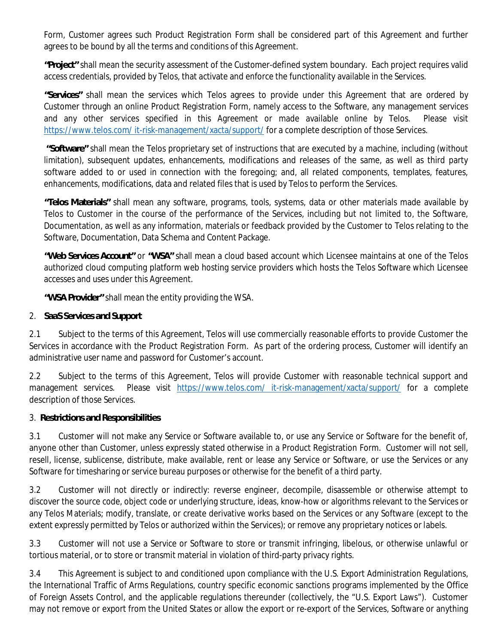Form, Customer agrees such Product Registration Form shall be considered part of this Agreement and further agrees to be bound by all the terms and conditions of this Agreement.

**"Project"** shall mean the security assessment of the Customer-defined system boundary. Each project requires valid access credentials, provided by Telos, that activate and enforce the functionality available in the Services.

**"Services"** shall mean the services which Telos agrees to provide under this Agreement that are ordered by Customer through an online Product Registration Form, namely access to the Software, any management services and any other services specified in this Agreement or made available online by Telos. Please visit https://www.telos.com/ it-risk-management/xacta/support/ for a complete description of those Services.

 **"Software"** shall mean the Telos proprietary set of instructions that are executed by a machine, including (without limitation), subsequent updates, enhancements, modifications and releases of the same, as well as third party software added to or used in connection with the foregoing; and, all related components, templates, features, enhancements, modifications, data and related files that is used by Telos to perform the Services.

**"Telos Materials"** shall mean any software, programs, tools, systems, data or other materials made available by Telos to Customer in the course of the performance of the Services, including but not limited to, the Software, Documentation, as well as any information, materials or feedback provided by the Customer to Telos relating to the Software, Documentation, Data Schema and Content Package.

**"Web Services Account"** or **"WSA"** shall mean a cloud based account which Licensee maintains at one of the Telos authorized cloud computing platform web hosting service providers which hosts the Telos Software which Licensee accesses and uses under this Agreement.

**"WSA Provider"** shall mean the entity providing the WSA.

2. **SaaS Services and Support**

2.1 Subject to the terms of this Agreement, Telos will use commercially reasonable efforts to provide Customer the Services in accordance with the Product Registration Form. As part of the ordering process, Customer will identify an administrative user name and password for Customer's account.

2.2 Subject to the terms of this Agreement, Telos will provide Customer with reasonable technical support and management services. Please visit https://www.telos.com/ it-risk-management/xacta/support/ for a complete description of those Services.

3. **Restrictions and Responsibilities**

3.1 Customer will not make any Service or Software available to, or use any Service or Software for the benefit of, anyone other than Customer, unless expressly stated otherwise in a Product Registration Form. Customer will not sell, resell, license, sublicense, distribute, make available, rent or lease any Service or Software, or use the Services or any Software for timesharing or service bureau purposes or otherwise for the benefit of a third party.

3.2 Customer will not directly or indirectly: reverse engineer, decompile, disassemble or otherwise attempt to discover the source code, object code or underlying structure, ideas, know-how or algorithms relevant to the Services or any Telos Materials; modify, translate, or create derivative works based on the Services or any Software (except to the extent expressly permitted by Telos or authorized within the Services); or remove any proprietary notices or labels.

3.3 Customer will not use a Service or Software to store or transmit infringing, libelous, or otherwise unlawful or tortious material, or to store or transmit material in violation of third-party privacy rights.

3.4 This Agreement is subject to and conditioned upon compliance with the U.S. Export Administration Regulations, the International Traffic of Arms Regulations, country specific economic sanctions programs implemented by the Office of Foreign Assets Control, and the applicable regulations thereunder (collectively, the "U.S. Export Laws"). Customer may not remove or export from the United States or allow the export or re-export of the Services, Software or anything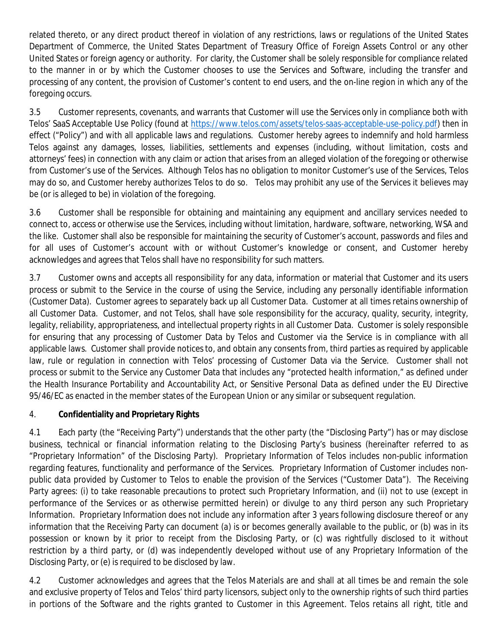related thereto, or any direct product thereof in violation of any restrictions, laws or regulations of the United States Department of Commerce, the United States Department of Treasury Office of Foreign Assets Control or any other United States or foreign agency or authority. For clarity, the Customer shall be solely responsible for compliance related to the manner in or by which the Customer chooses to use the Services and Software, including the transfer and processing of any content, the provision of Customer's content to end users, and the on-line region in which any of the foregoing occurs.

3.5 Customer represents, covenants, and warrants that Customer will use the Services only in compliance both with Telos' SaaS Acceptable Use Policy (found at https://www.telos.com/assets/telos-saas-acceptable-use-policy.pdf) then in effect ("Policy") and with all applicable laws and regulations. Customer hereby agrees to indemnify and hold harmless Telos against any damages, losses, liabilities, settlements and expenses (including, without limitation, costs and attorneys' fees) in connection with any claim or action that arises from an alleged violation of the foregoing or otherwise from Customer's use of the Services. Although Telos has no obligation to monitor Customer's use of the Services, Telos may do so, and Customer hereby authorizes Telos to do so. Telos may prohibit any use of the Services it believes may be (or is alleged to be) in violation of the foregoing.

3.6 Customer shall be responsible for obtaining and maintaining any equipment and ancillary services needed to connect to, access or otherwise use the Services, including without limitation, hardware, software, networking, WSA and the like. Customer shall also be responsible for maintaining the security of Customer's account, passwords and files and for all uses of Customer's account with or without Customer's knowledge or consent, and Customer hereby acknowledges and agrees that Telos shall have no responsibility for such matters.

3.7 Customer owns and accepts all responsibility for any data, information or material that Customer and its users process or submit to the Service in the course of using the Service, including any personally identifiable information (Customer Data). Customer agrees to separately back up all Customer Data. Customer at all times retains ownership of all Customer Data. Customer, and not Telos, shall have sole responsibility for the accuracy, quality, security, integrity, legality, reliability, appropriateness, and intellectual property rights in all Customer Data. Customer is solely responsible for ensuring that any processing of Customer Data by Telos and Customer via the Service is in compliance with all applicable laws. Customer shall provide notices to, and obtain any consents from, third parties as required by applicable law, rule or regulation in connection with Telos' processing of Customer Data via the Service. Customer shall not process or submit to the Service any Customer Data that includes any "protected health information," as defined under the Health Insurance Portability and Accountability Act, or Sensitive Personal Data as defined under the EU Directive 95/46/EC as enacted in the member states of the European Union or any similar or subsequent regulation.

### 4. **Confidentiality and Proprietary Rights**

4.1 Each party (the "Receiving Party") understands that the other party (the "Disclosing Party") has or may disclose business, technical or financial information relating to the Disclosing Party's business (hereinafter referred to as "Proprietary Information" of the Disclosing Party). Proprietary Information of Telos includes non-public information regarding features, functionality and performance of the Services. Proprietary Information of Customer includes nonpublic data provided by Customer to Telos to enable the provision of the Services ("Customer Data"). The Receiving Party agrees: (i) to take reasonable precautions to protect such Proprietary Information, and (ii) not to use (except in performance of the Services or as otherwise permitted herein) or divulge to any third person any such Proprietary Information. Proprietary Information does not include any information after 3 years following disclosure thereof or any information that the Receiving Party can document (a) is or becomes generally available to the public, or (b) was in its possession or known by it prior to receipt from the Disclosing Party, or (c) was rightfully disclosed to it without restriction by a third party, or (d) was independently developed without use of any Proprietary Information of the Disclosing Party, or (e) is required to be disclosed by law.

4.2 Customer acknowledges and agrees that the Telos Materials are and shall at all times be and remain the sole and exclusive property of Telos and Telos' third party licensors, subject only to the ownership rights of such third parties in portions of the Software and the rights granted to Customer in this Agreement. Telos retains all right, title and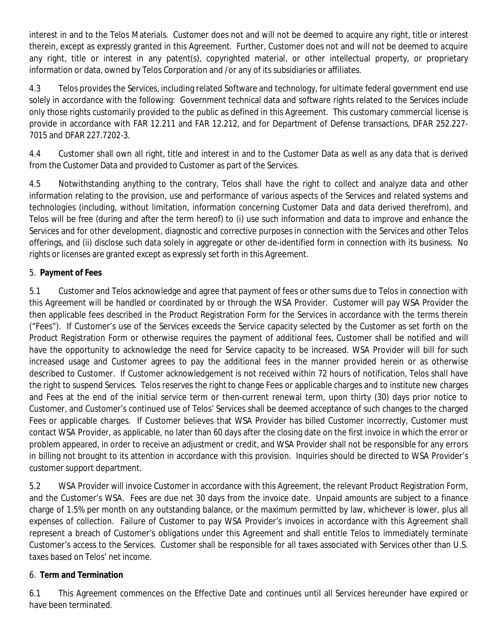interest in and to the Telos Materials. Customer does not and will not be deemed to acquire any right, title or interest therein, except as expressly granted in this Agreement. Further, Customer does not and will not be deemed to acquire any right, title or interest in any patent(s), copyrighted material, or other intellectual property, or proprietary information or data, owned by Telos Corporation and /or any of its subsidiaries or affiliates.

4.3 Telos provides the Services, including related Software and technology, for ultimate federal government end use solely in accordance with the following: Government technical data and software rights related to the Services include only those rights customarily provided to the public as defined in this Agreement. This customary commercial license is provide in accordance with FAR 12.211 and FAR 12.212, and for Department of Defense transactions, DFAR 252.227- 7015 and DFAR 227.7202-3.

4.4 Customer shall own all right, title and interest in and to the Customer Data as well as any data that is derived from the Customer Data and provided to Customer as part of the Services.

4.5 Notwithstanding anything to the contrary, Telos shall have the right to collect and analyze data and other information relating to the provision, use and performance of various aspects of the Services and related systems and technologies (including, without limitation, information concerning Customer Data and data derived therefrom), and Telos will be free (during and after the term hereof) to (i) use such information and data to improve and enhance the Services and for other development, diagnostic and corrective purposes in connection with the Services and other Telos offerings, and (ii) disclose such data solely in aggregate or other de-identified form in connection with its business. No rights or licenses are granted except as expressly set forth in this Agreement.

# 5. **Payment of Fees**

5.1 Customer and Telos acknowledge and agree that payment of fees or other sums due to Telos in connection with this Agreement will be handled or coordinated by or through the WSA Provider. Customer will pay WSA Provider the then applicable fees described in the Product Registration Form for the Services in accordance with the terms therein ("Fees"). If Customer's use of the Services exceeds the Service capacity selected by the Customer as set forth on the Product Registration Form or otherwise requires the payment of additional fees, Customer shall be notified and will have the opportunity to acknowledge the need for Service capacity to be increased. WSA Provider will bill for such increased usage and Customer agrees to pay the additional fees in the manner provided herein or as otherwise described to Customer. If Customer acknowledgement is not received within 72 hours of notification, Telos shall have the right to suspend Services. Telos reserves the right to change Fees or applicable charges and to institute new charges and Fees at the end of the initial service term or then-current renewal term, upon thirty (30) days prior notice to Customer, and Customer's continued use of Telos' Services shall be deemed acceptance of such changes to the charged Fees or applicable charges. If Customer believes that WSA Provider has billed Customer incorrectly, Customer must contact WSA Provider, as applicable, no later than 60 days after the closing date on the first invoice in which the error or problem appeared, in order to receive an adjustment or credit, and WSA Provider shall not be responsible for any errors in billing not brought to its attention in accordance with this provision. Inquiries should be directed to WSA Provider's customer support department.

5.2 WSA Provider will invoice Customer in accordance with this Agreement, the relevant Product Registration Form, and the Customer's WSA. Fees are due net 30 days from the invoice date. Unpaid amounts are subject to a finance charge of 1.5% per month on any outstanding balance, or the maximum permitted by law, whichever is lower, plus all expenses of collection. Failure of Customer to pay WSA Provider's invoices in accordance with this Agreement shall represent a breach of Customer's obligations under this Agreement and shall entitle Telos to immediately terminate Customer's access to the Services. Customer shall be responsible for all taxes associated with Services other than U.S. taxes based on Telos' net income.

### 6. **Term and Termination**

6.1 This Agreement commences on the Effective Date and continues until all Services hereunder have expired or have been terminated.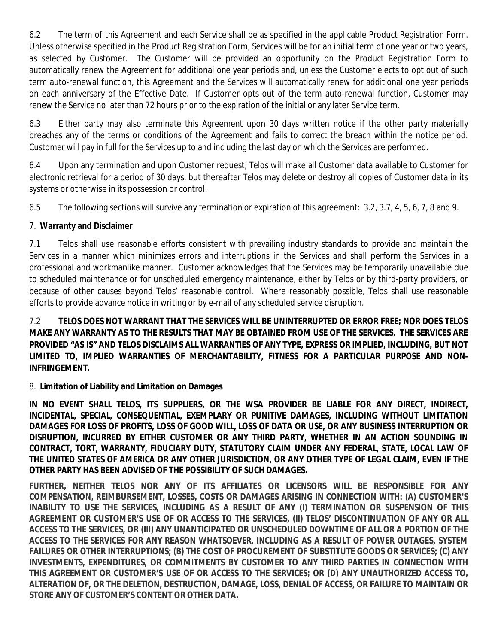6.2 The term of this Agreement and each Service shall be as specified in the applicable Product Registration Form. Unless otherwise specified in the Product Registration Form, Services will be for an initial term of one year or two years, as selected by Customer. The Customer will be provided an opportunity on the Product Registration Form to automatically renew the Agreement for additional one year periods and, unless the Customer elects to opt out of such term auto-renewal function, this Agreement and the Services will automatically renew for additional one year periods on each anniversary of the Effective Date. If Customer opts out of the term auto-renewal function, Customer may renew the Service no later than 72 hours prior to the expiration of the initial or any later Service term.

6.3 Either party may also terminate this Agreement upon 30 days written notice if the other party materially breaches any of the terms or conditions of the Agreement and fails to correct the breach within the notice period. Customer will pay in full for the Services up to and including the last day on which the Services are performed.

6.4 Upon any termination and upon Customer request, Telos will make all Customer data available to Customer for electronic retrieval for a period of 30 days, but thereafter Telos may delete or destroy all copies of Customer data in its systems or otherwise in its possession or control.

6.5 The following sections will survive any termination or expiration of this agreement: 3.2, 3.7, 4, 5, 6, 7, 8 and 9.

# 7. **Warranty and Disclaimer**

7.1 Telos shall use reasonable efforts consistent with prevailing industry standards to provide and maintain the Services in a manner which minimizes errors and interruptions in the Services and shall perform the Services in a professional and workmanlike manner. Customer acknowledges that the Services may be temporarily unavailable due to scheduled maintenance or for unscheduled emergency maintenance, either by Telos or by third-party providers, or because of other causes beyond Telos' reasonable control. Where reasonably possible, Telos shall use reasonable efforts to provide advance notice in writing or by e-mail of any scheduled service disruption.

7.2 **TELOS DOES NOT WARRANT THAT THE SERVICES WILL BE UNINTERRUPTED OR ERROR FREE; NOR DOES TELOS MAKE ANY WARRANTY AS TO THE RESULTS THAT MAY BE OBTAINED FROM USE OF THE SERVICES. THE SERVICES ARE PROVIDED "AS IS" AND TELOS DISCLAIMS ALL WARRANTIES OF ANY TYPE, EXPRESS OR IMPLIED, INCLUDING, BUT NOT LIMITED TO, IMPLIED WARRANTIES OF MERCHANTABILITY, FITNESS FOR A PARTICULAR PURPOSE AND NON-INFRINGEMENT.**

# 8. **Limitation of Liability and Limitation on Damages**

**IN NO EVENT SHALL TELOS, ITS SUPPLIERS, OR THE WSA PROVIDER BE LIABLE FOR ANY DIRECT, INDIRECT, INCIDENTAL, SPECIAL, CONSEQUENTIAL, EXEMPLARY OR PUNITIVE DAMAGES, INCLUDING WITHOUT LIMITATION DAMAGES FOR LOSS OF PROFITS, LOSS OF GOOD WILL, LOSS OF DATA OR USE, OR ANY BUSINESS INTERRUPTION OR DISRUPTION, INCURRED BY EITHER CUSTOMER OR ANY THIRD PARTY, WHETHER IN AN ACTION SOUNDING IN CONTRACT, TORT, WARRANTY, FIDUCIARY DUTY, STATUTORY CLAIM UNDER ANY FEDERAL, STATE, LOCAL LAW OF THE UNITED STATES OF AMERICA OR ANY OTHER JURISDICTION, OR ANY OTHER TYPE OF LEGAL CLAIM, EVEN IF THE OTHER PARTY HAS BEEN ADVISED OF THE POSSIBILITY OF SUCH DAMAGES.**

**FURTHER, NEITHER TELOS NOR ANY OF ITS AFFILIATES OR LICENSORS WILL BE RESPONSIBLE FOR ANY COMPENSATION, REIMBURSEMENT, LOSSES, COSTS OR DAMAGES ARISING IN CONNECTION WITH: (A) CUSTOMER'S INABILITY TO USE THE SERVICES, INCLUDING AS A RESULT OF ANY (I) TERMINATION OR SUSPENSION OF THIS AGREEMENT OR CUSTOMER'S USE OF OR ACCESS TO THE SERVICES, (II) TELOS' DISCONTINUATION OF ANY OR ALL ACCESS TO THE SERVICES, OR (III) ANY UNANTICIPATED OR UNSCHEDULED DOWNTIME OF ALL OR A PORTION OF THE ACCESS TO THE SERVICES FOR ANY REASON WHATSOEVER, INCLUDING AS A RESULT OF POWER OUTAGES, SYSTEM FAILURES OR OTHER INTERRUPTIONS; (B) THE COST OF PROCUREMENT OF SUBSTITUTE GOODS OR SERVICES; (C) ANY INVESTMENTS, EXPENDITURES, OR COMMITMENTS BY CUSTOMER TO ANY THIRD PARTIES IN CONNECTION WITH THIS AGREEMENT OR CUSTOMER'S USE OF OR ACCESS TO THE SERVICES; OR (D) ANY UNAUTHORIZED ACCESS TO, ALTERATION OF, OR THE DELETION, DESTRUCTION, DAMAGE, LOSS, DENIAL OF ACCESS, OR FAILURE TO MAINTAIN OR STORE ANY OF CUSTOMER'S CONTENT OR OTHER DATA.**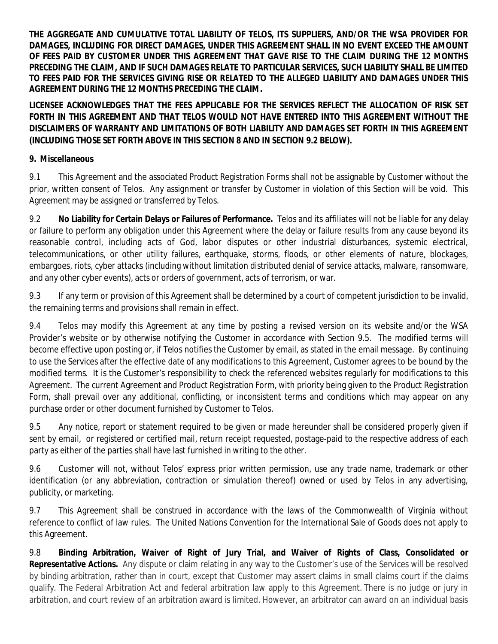**THE AGGREGATE AND CUMULATIVE TOTAL LIABILITY OF TELOS, ITS SUPPLIERS, AND/OR THE WSA PROVIDER FOR DAMAGES, INCLUDING FOR DIRECT DAMAGES, UNDER THIS AGREEMENT SHALL IN NO EVENT EXCEED THE AMOUNT OF FEES PAID BY CUSTOMER UNDER THIS AGREEMENT THAT GAVE RISE TO THE CLAIM DURING THE 12 MONTHS PRECEDING THE CLAIM, AND IF SUCH DAMAGES RELATE TO PARTICULAR SERVICES, SUCH LIABILITY SHALL BE LIMITED TO FEES PAID FOR THE SERVICES GIVING RISE OR RELATED TO THE ALLEGED LIABILITY AND DAMAGES UNDER THIS AGREEMENT DURING THE 12 MONTHS PRECEDING THE CLAIM.**

**LICENSEE ACKNOWLEDGES THAT THE FEES APPLICABLE FOR THE SERVICES REFLECT THE ALLOCATION OF RISK SET FORTH IN THIS AGREEMENT AND THAT TELOS WOULD NOT HAVE ENTERED INTO THIS AGREEMENT WITHOUT THE DISCLAIMERS OF WARRANTY AND LIMITATIONS OF BOTH LIABILITY AND DAMAGES SET FORTH IN THIS AGREEMENT (INCLUDING THOSE SET FORTH ABOVE IN THIS SECTION 8 AND IN SECTION 9.2 BELOW).**

**9. Miscellaneous**

9.1 This Agreement and the associated Product Registration Forms shall not be assignable by Customer without the prior, written consent of Telos. Any assignment or transfer by Customer in violation of this Section will be void. This Agreement may be assigned or transferred by Telos.

9.2 **No Liability for Certain Delays or Failures of Performance.** Telos and its affiliates will not be liable for any delay or failure to perform any obligation under this Agreement where the delay or failure results from any cause beyond its reasonable control, including acts of God, labor disputes or other industrial disturbances, systemic electrical, telecommunications, or other utility failures, earthquake, storms, floods, or other elements of nature, blockages, embargoes, riots, cyber attacks (including without limitation distributed denial of service attacks, malware, ransomware, and any other cyber events), acts or orders of government, acts of terrorism, or war.

9.3 If any term or provision of this Agreement shall be determined by a court of competent jurisdiction to be invalid, the remaining terms and provisions shall remain in effect.

9.4 Telos may modify this Agreement at any time by posting a revised version on its website and/or the WSA Provider's website or by otherwise notifying the Customer in accordance with Section 9.5. The modified terms will become effective upon posting or, if Telos notifies the Customer by email, as stated in the email message. By continuing to use the Services after the effective date of any modifications to this Agreement, Customer agrees to be bound by the modified terms. It is the Customer's responsibility to check the referenced websites regularly for modifications to this Agreement. The current Agreement and Product Registration Form, with priority being given to the Product Registration Form, shall prevail over any additional, conflicting, or inconsistent terms and conditions which may appear on any purchase order or other document furnished by Customer to Telos.

9.5 Any notice, report or statement required to be given or made hereunder shall be considered properly given if sent by email, or registered or certified mail, return receipt requested, postage-paid to the respective address of each party as either of the parties shall have last furnished in writing to the other.

9.6 Customer will not, without Telos' express prior written permission, use any trade name, trademark or other identification (or any abbreviation, contraction or simulation thereof) owned or used by Telos in any advertising, publicity, or marketing.

9.7 This Agreement shall be construed in accordance with the laws of the Commonwealth of Virginia without reference to conflict of law rules. The United Nations Convention for the International Sale of Goods does not apply to this Agreement.

9.8 **Binding Arbitration, Waiver of Right of Jury Trial, and Waiver of Rights of Class, Consolidated or Representative Actions.** Any dispute or claim relating in any way to the Customer's use of the Services will be resolved by binding arbitration, rather than in court, except that Customer may assert claims in small claims court if the claims qualify. The Federal Arbitration Act and federal arbitration law apply to this Agreement. There is no judge or jury in arbitration, and court review of an arbitration award is limited. However, an arbitrator can award on an individual basis